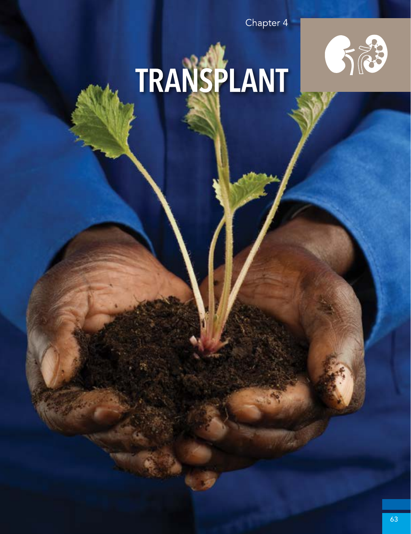

# TRANSPLANT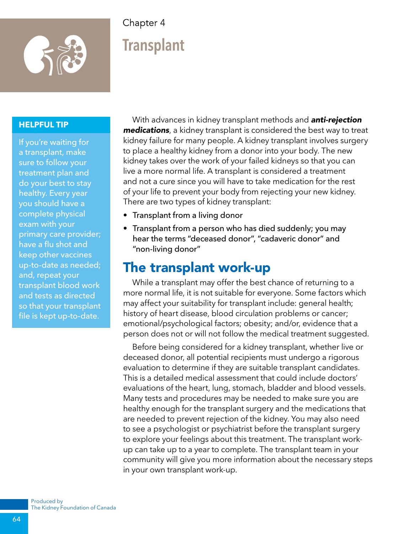

# **Transplant**

#### **HELPFUL TIP**

If you're waiting for a transplant, make sure to follow your treatment plan and do your best to stay healthy. Every year you should have a complete physical exam with your primary care provider; have a flu shot and keep other vaccines up-to-date as needed; and, repeat your transplant blood work and tests as directed so that your transplant file is kept up-to-date.

With advances in kidney transplant methods and *anti-rejection medications*, a kidney transplant is considered the best way to treat kidney failure for many people. A kidney transplant involves surgery to place a healthy kidney from a donor into your body. The new kidney takes over the work of your failed kidneys so that you can live a more normal life. A transplant is considered a treatment and not a cure since you will have to take medication for the rest of your life to prevent your body from rejecting your new kidney. There are two types of kidney transplant:

- Transplant from a living donor
- Transplant from a person who has died suddenly; you may hear the terms "deceased donor", "cadaveric donor" and "non-living donor"

## The transplant work-up

While a transplant may offer the best chance of returning to a more normal life, it is not suitable for everyone. Some factors which may affect your suitability for transplant include: general health; history of heart disease, blood circulation problems or cancer; emotional/psychological factors; obesity; and/or, evidence that a person does not or will not follow the medical treatment suggested.

Before being considered for a kidney transplant, whether live or deceased donor, all potential recipients must undergo a rigorous evaluation to determine if they are suitable transplant candidates. This is a detailed medical assessment that could include doctors' evaluations of the heart, lung, stomach, bladder and blood vessels. Many tests and procedures may be needed to make sure you are healthy enough for the transplant surgery and the medications that are needed to prevent rejection of the kidney. You may also need to see a psychologist or psychiatrist before the transplant surgery to explore your feelings about this treatment. The transplant workup can take up to a year to complete. The transplant team in your community will give you more information about the necessary steps in your own transplant work-up.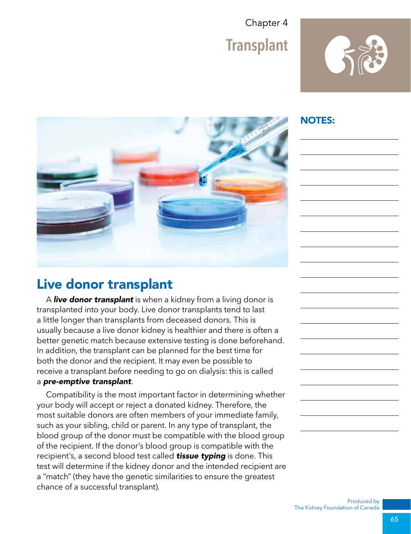

#### NOTES:



## Live donor transplant

A *live donor transplant* is when a kidney from a living donor is transplanted into your body. Live donor transplants tend to last a little longer than transplants from deceased donors. This is usually because a live donor kidney is healthier and there is often a better genetic match because extensive testing is done beforehand. In addition, the transplant can be planned for the best time for both the donor and the recipient. It may even be possible to receive a transplant *before* needing to go on dialysis: this is called a *pre-emptive transplant*.

Compatibility is the most important factor in determining whether your body will accept or reject a donated kidney. Therefore, the most suitable donors are often members of your immediate family, such as your sibling, child or parent. In any type of transplant, the blood group of the donor must be compatible with the blood group of the recipient. If the donor's blood group is compatible with the recipient's, a second blood test called *tissue typing* is done. This test will determine if the kidney donor and the intended recipient are a "match" (they have the genetic similarities to ensure the greatest chance of a successful transplant).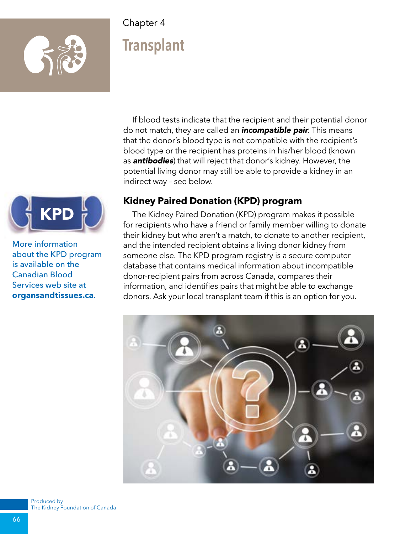

# **Transplant**

If blood tests indicate that the recipient and their potential donor do not match, they are called an *incompatible pair*. This means that the donor's blood type is not compatible with the recipient's blood type or the recipient has proteins in his/her blood (known as *antibodies*) that will reject that donor's kidney. However, the potential living donor may still be able to provide a kidney in an indirect way – see below.

#### **Kidney Paired Donation (KPD) program**

The Kidney Paired Donation (KPD) program makes it possible for recipients who have a friend or family member willing to donate their kidney but who aren't a match, to donate to another recipient, and the intended recipient obtains a living donor kidney from someone else. The KPD program registry is a secure computer database that contains medical information about incompatible donor-recipient pairs from across Canada, compares their information, and identifies pairs that might be able to exchange donors. Ask your local transplant team if this is an option for you.





More information about the KPD program is available on the Canadian Blood Services web site at **organsandtissues.ca**.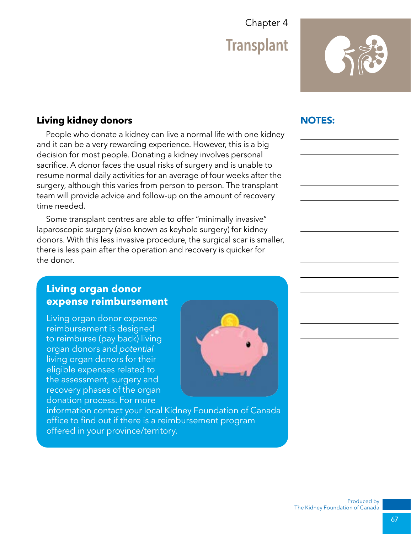**Transplant** 



#### **Living kidney donors**

People who donate a kidney can live a normal life with one kidney and it can be a very rewarding experience. However, this is a big decision for most people. Donating a kidney involves personal sacrifice. A donor faces the usual risks of surgery and is unable to resume normal daily activities for an average of four weeks after the surgery, although this varies from person to person. The transplant team will provide advice and follow-up on the amount of recovery time needed.

Some transplant centres are able to offer "minimally invasive" laparoscopic surgery (also known as keyhole surgery) for kidney donors. With this less invasive procedure, the surgical scar is smaller, there is less pain after the operation and recovery is quicker for the donor.

#### **Living organ donor expense reimbursement**

Living organ donor expense reimbursement is designed to reimburse (pay back) living organ donors and *potential*  living organ donors for their eligible expenses related to the assessment, surgery and recovery phases of the organ donation process. For more



information contact your local Kidney Foundation of Canada office to find out if there is a reimbursement program offered in your province/territory.

#### NOTES: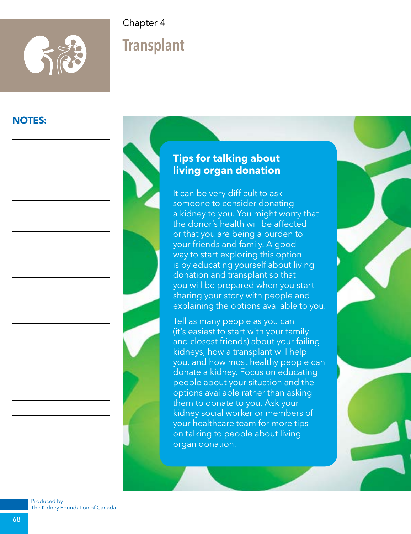

# **Transplant**

#### NOTES:



#### **Tips for talking about living organ donation**

It can be very difficult to ask someone to consider donating a kidney to you. You might worry that the donor's health will be affected or that you are being a burden to your friends and family. A good way to start exploring this option is by educating yourself about living donation and transplant so that you will be prepared when you start sharing your story with people and explaining the options available to you. Tell as many people as you can

(it's easiest to start with your family and closest friends) about your failing kidneys, how a transplant will help you, and how most healthy people can donate a kidney. Focus on educating people about your situation and the options available rather than asking them to donate to you. Ask your kidney social worker or members of your healthcare team for more tips on talking to people about living organ donation.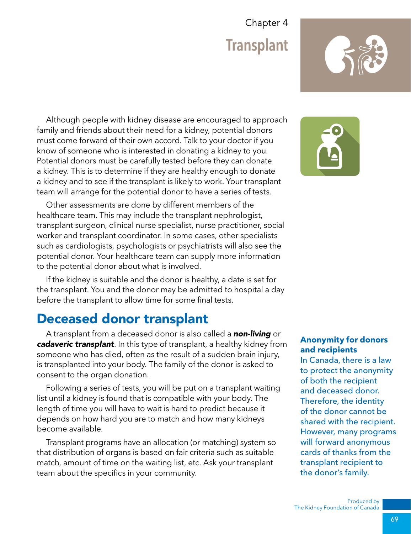Although people with kidney disease are encouraged to approach family and friends about their need for a kidney, potential donors must come forward of their own accord. Talk to your doctor if you know of someone who is interested in donating a kidney to you. Potential donors must be carefully tested before they can donate a kidney. This is to determine if they are healthy enough to donate a kidney and to see if the transplant is likely to work. Your transplant team will arrange for the potential donor to have a series of tests.

Other assessments are done by different members of the healthcare team. This may include the transplant nephrologist, transplant surgeon, clinical nurse specialist, nurse practitioner, social worker and transplant coordinator. In some cases, other specialists such as cardiologists, psychologists or psychiatrists will also see the potential donor. Your healthcare team can supply more information to the potential donor about what is involved.

If the kidney is suitable and the donor is healthy, a date is set for the transplant. You and the donor may be admitted to hospital a day before the transplant to allow time for some final tests.

## Deceased donor transplant

A transplant from a deceased donor is also called a *non-living* or *cadaveric transplant*. In this type of transplant, a healthy kidney from someone who has died, often as the result of a sudden brain injury, is transplanted into your body. The family of the donor is asked to consent to the organ donation.

Following a series of tests, you will be put on a transplant waiting list until a kidney is found that is compatible with your body. The length of time you will have to wait is hard to predict because it depends on how hard you are to match and how many kidneys become available.

Transplant programs have an allocation (or matching) system so that distribution of organs is based on fair criteria such as suitable match, amount of time on the waiting list, etc. Ask your transplant team about the specifics in your community.



#### **Anonymity for donors and recipients**

In Canada, there is a law to protect the anonymity of both the recipient and deceased donor. Therefore, the identity of the donor cannot be shared with the recipient. However, many programs will forward anonymous cards of thanks from the transplant recipient to the donor's family.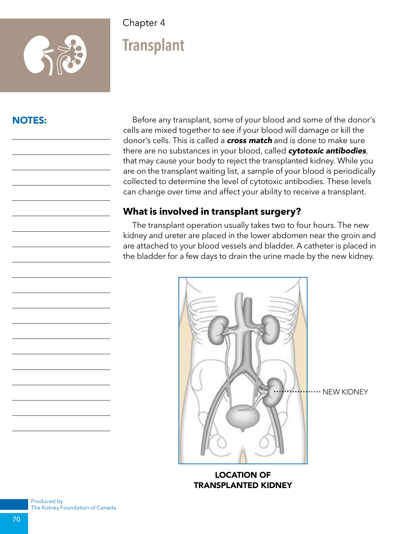

# **Transplant**

#### NOTES:

Before any transplant, some of your blood and some of the donor's cells are mixed together to see if your blood will damage or kill the donor's cells. This is called a *cross match* and is done to make sure there are no substances in your blood, called *cytotoxic antibodies*, that may cause your body to reject the transplanted kidney. While you are on the transplant waiting list, a sample of your blood is periodically collected to determine the level of cytotoxic antibodies. These levels can change over time and affect your ability to receive a transplant.

#### **What is involved in transplant surgery?**

The transplant operation usually takes two to four hours. The new kidney and ureter are placed in the lower abdomen near the groin and are attached to your blood vessels and bladder. A catheter is placed in the bladder for a few days to drain the urine made by the new kidney.



LOCATION OF TRANSPLANTED KIDNEY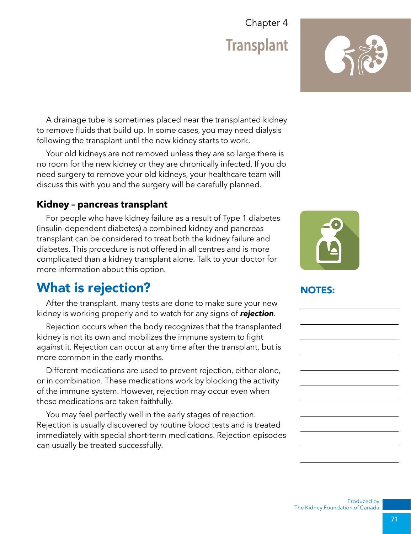A drainage tube is sometimes placed near the transplanted kidney to remove fluids that build up. In some cases, you may need dialysis following the transplant until the new kidney starts to work.

Your old kidneys are not removed unless they are so large there is no room for the new kidney or they are chronically infected. If you do need surgery to remove your old kidneys, your healthcare team will discuss this with you and the surgery will be carefully planned.

#### **Kidney – pancreas transplant**

For people who have kidney failure as a result of Type 1 diabetes (insulin-dependent diabetes) a combined kidney and pancreas transplant can be considered to treat both the kidney failure and diabetes. This procedure is not offered in all centres and is more complicated than a kidney transplant alone. Talk to your doctor for more information about this option.

## What is rejection?

After the transplant, many tests are done to make sure your new kidney is working properly and to watch for any signs of *rejection*.

Rejection occurs when the body recognizes that the transplanted kidney is not its own and mobilizes the immune system to fight against it. Rejection can occur at any time after the transplant, but is more common in the early months.

Different medications are used to prevent rejection, either alone, or in combination. These medications work by blocking the activity of the immune system. However, rejection may occur even when these medications are taken faithfully.

You may feel perfectly well in the early stages of rejection. Rejection is usually discovered by routine blood tests and is treated immediately with special short-term medications. Rejection episodes can usually be treated successfully.

## NOTES:



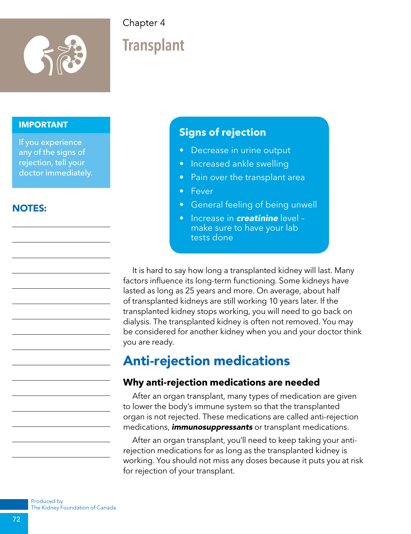

# **Transplant**

#### **IMPORTANT**

If you experience any of the signs of rejection, tell your doctor immediately.

#### NOTES:

#### **Signs of rejection**

- Decrease in urine output
- Increased ankle swelling
- Pain over the transplant area
- Fever
- General feeling of being unwell
- Increase in *creatinine* level make sure to have your lab tests done

It is hard to say how long a transplanted kidney will last. Many factors influence its long-term functioning. Some kidneys have lasted as long as 25 years and more. On average, about half of transplanted kidneys are still working 10 years later. If the transplanted kidney stops working, you will need to go back on dialysis. The transplanted kidney is often not removed. You may be considered for another kidney when you and your doctor think you are ready.

## Anti-rejection medications

#### **Why anti-rejection medications are needed**

After an organ transplant, many types of medication are given to lower the body's immune system so that the transplanted organ is not rejected. These medications are called anti-rejection medications, *immunosuppressants* or transplant medications.

After an organ transplant, you'll need to keep taking your antirejection medications for as long as the transplanted kidney is working. You should not miss any doses because it puts you at risk for rejection of your transplant.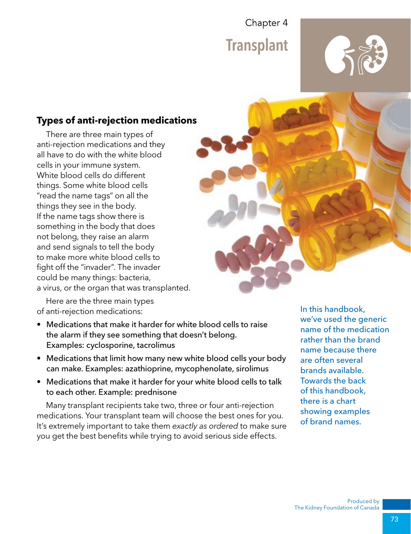

#### **Types of anti-rejection medications**

There are three main types of anti-rejection medications and they all have to do with the white blood cells in your immune system. White blood cells do different things. Some white blood cells "read the name tags" on all the things they see in the body. If the name tags show there is something in the body that does not belong, they raise an alarm and send signals to tell the body to make more white blood cells to fight off the "invader". The invader could be many things: bacteria, a virus, or the organ that was transplanted.

Here are the three main types of anti-rejection medications:

- Medications that make it harder for white blood cells to raise the alarm if they see something that doesn't belong. Examples: cyclosporine, tacrolimus
- Medications that limit how many new white blood cells your body can make. Examples: azathioprine, mycophenolate, sirolimus
- Medications that make it harder for your white blood cells to talk to each other. Example: prednisone

Many transplant recipients take two, three or four anti-rejection medications. Your transplant team will choose the best ones for you. It's extremely important to take them *exactly as ordered* to make sure you get the best benefits while trying to avoid serious side effects.

In this handbook, we've used the generic name of the medication rather than the brand name because there are often several brands available. Towards the back of this handbook, there is a chart showing examples of brand names.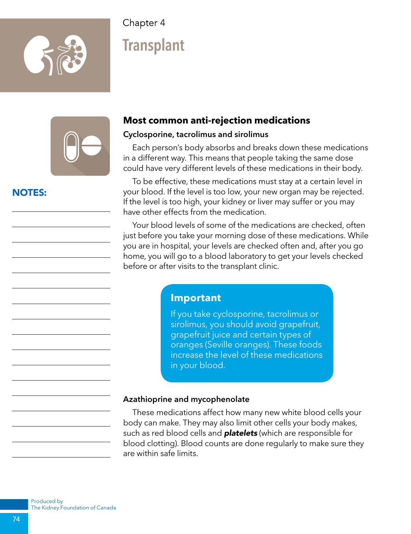

# **Transplant**



#### NOTES:

#### **Most common anti-rejection medications**

#### Cyclosporine, tacrolimus and sirolimus

Each person's body absorbs and breaks down these medications in a different way. This means that people taking the same dose could have very different levels of these medications in their body.

To be effective, these medications must stay at a certain level in your blood. If the level is too low, your new organ may be rejected. If the level is too high, your kidney or liver may suffer or you may have other effects from the medication.

Your blood levels of some of the medications are checked, often just before you take your morning dose of these medications. While you are in hospital, your levels are checked often and, after you go home, you will go to a blood laboratory to get your levels checked before or after visits to the transplant clinic.

#### **Important**

If you take cyclosporine, tacrolimus or sirolimus, you should avoid grapefruit, grapefruit juice and certain types of oranges (Seville oranges). These foods increase the level of these medications in your blood.

#### Azathioprine and mycophenolate

These medications affect how many new white blood cells your body can make. They may also limit other cells your body makes, such as red blood cells and *platelets* (which are responsible for blood clotting). Blood counts are done regularly to make sure they are within safe limits.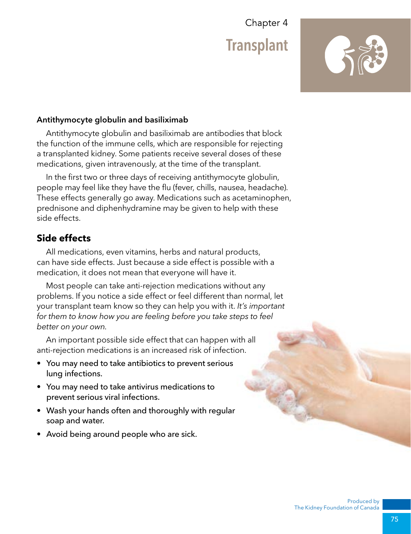

#### Antithymocyte globulin and basiliximab

Antithymocyte globulin and basiliximab are antibodies that block the function of the immune cells, which are responsible for rejecting a transplanted kidney. Some patients receive several doses of these medications, given intravenously, at the time of the transplant.

In the first two or three days of receiving antithymocyte globulin, people may feel like they have the flu (fever, chills, nausea, headache). These effects generally go away. Medications such as acetaminophen, prednisone and diphenhydramine may be given to help with these side effects.

#### **Side effects**

All medications, even vitamins, herbs and natural products, can have side effects. Just because a side effect is possible with a medication, it does not mean that everyone will have it.

Most people can take anti-rejection medications without any problems. If you notice a side effect or feel different than normal, let your transplant team know so they can help you with it. *It's important for them to know how you are feeling before you take steps to feel better on your own.*

An important possible side effect that can happen with all anti-rejection medications is an increased risk of infection.

- You may need to take antibiotics to prevent serious lung infections.
- You may need to take antivirus medications to prevent serious viral infections.
- Wash your hands often and thoroughly with regular soap and water.
- Avoid being around people who are sick.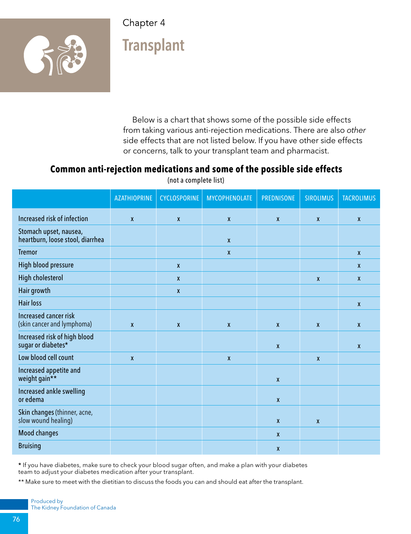

# **Transplant**

Below is a chart that shows some of the possible side effects from taking various anti-rejection medications. There are also *other* side effects that are not listed below. If you have other side effects or concerns, talk to your transplant team and pharmacist.

#### **Common anti-rejection medications and some of the possible side effects**

|                                                            | <b>AZATHIOPRINE</b> | <b>CYCLOSPORINE</b> | <b>MYCOPHENOLATE</b> | <b>PREDNISONE</b> | <b>SIROLIMUS</b> | <b>TACROLIMUS</b> |
|------------------------------------------------------------|---------------------|---------------------|----------------------|-------------------|------------------|-------------------|
| Increased risk of infection                                | X                   | $\pmb{\mathsf{X}}$  | $\boldsymbol{X}$     | $\mathbf{x}$      | $\mathbf{x}$     | $\boldsymbol{x}$  |
| Stomach upset, nausea,<br>heartburn, loose stool, diarrhea |                     |                     | $\boldsymbol{X}$     |                   |                  |                   |
| <b>Tremor</b>                                              |                     |                     | $\pmb{\mathsf{X}}$   |                   |                  | $\mathbf{x}$      |
| High blood pressure                                        |                     | X                   |                      |                   |                  | $\mathbf{x}$      |
| <b>High cholesterol</b>                                    |                     | $\mathsf{x}$        |                      |                   | $\pmb{\chi}$     | $\mathbf{x}$      |
| Hair growth                                                |                     | $\mathbf x$         |                      |                   |                  |                   |
| <b>Hair loss</b>                                           |                     |                     |                      |                   |                  | $\boldsymbol{x}$  |
| <b>Increased cancer risk</b><br>(skin cancer and lymphoma) | X                   | $\pmb{\chi}$        | $\mathbf{x}$         | $\mathbf{x}$      | $\mathbf{x}$     | $\boldsymbol{x}$  |
| Increased risk of high blood<br>sugar or diabetes*         |                     |                     |                      | $\mathsf{x}$      |                  | $\boldsymbol{x}$  |
| Low blood cell count                                       | $\mathbf{x}$        |                     | $\boldsymbol{x}$     |                   | $\mathbf{x}$     |                   |
| Increased appetite and<br>weight gain**                    |                     |                     |                      | $\mathbf{x}$      |                  |                   |
| Increased ankle swelling<br>or edema                       |                     |                     |                      | $\mathbf{x}$      |                  |                   |
| Skin changes (thinner, acne,<br>slow wound healing)        |                     |                     |                      | $\mathsf{x}$      | $\mathbf{x}$     |                   |
| <b>Mood changes</b>                                        |                     |                     |                      | $\boldsymbol{X}$  |                  |                   |
| <b>Bruising</b>                                            |                     |                     |                      | $\boldsymbol{X}$  |                  |                   |

(not a complete list)

\* If you have diabetes, make sure to check your blood sugar often, and make a plan with your diabetes team to adjust your diabetes medication after your transplant.

\*\* Make sure to meet with the dietitian to discuss the foods you can and should eat after the transplant.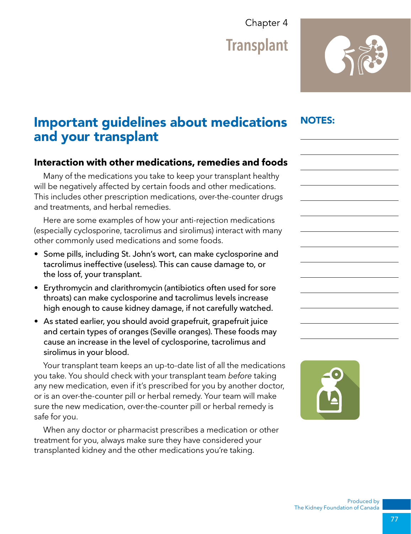**Transplant** 

## NOTES:

## Important guidelines about medications and your transplant

#### **Interaction with other medications, remedies and foods**

Many of the medications you take to keep your transplant healthy will be negatively affected by certain foods and other medications. This includes other prescription medications, over-the-counter drugs and treatments, and herbal remedies.

Here are some examples of how your anti-rejection medications (especially cyclosporine, tacrolimus and sirolimus) interact with many other commonly used medications and some foods.

- Some pills, including St. John's wort, can make cyclosporine and tacrolimus ineffective (useless). This can cause damage to, or the loss of, your transplant.
- Erythromycin and clarithromycin (antibiotics often used for sore throats) can make cyclosporine and tacrolimus levels increase high enough to cause kidney damage, if not carefully watched.
- As stated earlier, you should avoid grapefruit, grapefruit juice and certain types of oranges (Seville oranges). These foods may cause an increase in the level of cyclosporine, tacrolimus and sirolimus in your blood.

Your transplant team keeps an up-to-date list of all the medications you take. You should check with your transplant team *before* taking any new medication, even if it's prescribed for you by another doctor, or is an over-the-counter pill or herbal remedy. Your team will make sure the new medication, over-the-counter pill or herbal remedy is safe for you.

When any doctor or pharmacist prescribes a medication or other treatment for you, always make sure they have considered your transplanted kidney and the other medications you're taking.

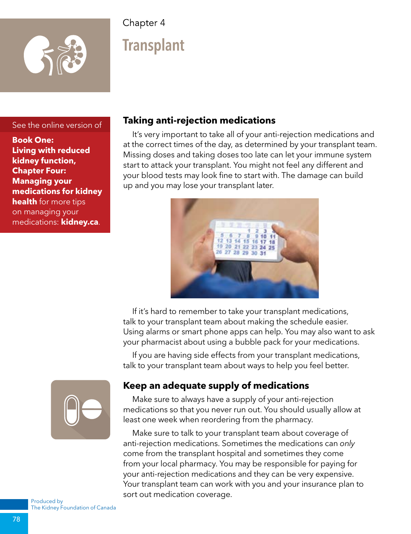

# **Transplant**

#### See the online version of

**Book One: Living with reduced kidney function, Chapter Four: Managing your medications for kidney health** for more tips on managing your medications: **kidney.ca**.

#### **Taking anti-rejection medications**

It's very important to take all of your anti-rejection medications and at the correct times of the day, as determined by your transplant team. Missing doses and taking doses too late can let your immune system start to attack your transplant. You might not feel any different and your blood tests may look fine to start with. The damage can build up and you may lose your transplant later.



If it's hard to remember to take your transplant medications, talk to your transplant team about making the schedule easier. Using alarms or smart phone apps can help. You may also want to ask your pharmacist about using a bubble pack for your medications.

If you are having side effects from your transplant medications, talk to your transplant team about ways to help you feel better.



#### **Keep an adequate supply of medications**

Make sure to always have a supply of your anti-rejection medications so that you never run out. You should usually allow at least one week when reordering from the pharmacy.

Make sure to talk to your transplant team about coverage of anti-rejection medications. Sometimes the medications can *only* come from the transplant hospital and sometimes they come from your local pharmacy. You may be responsible for paying for your anti-rejection medications and they can be very expensive. Your transplant team can work with you and your insurance plan to sort out medication coverage.

Produced by The Kidney Foundation of Canada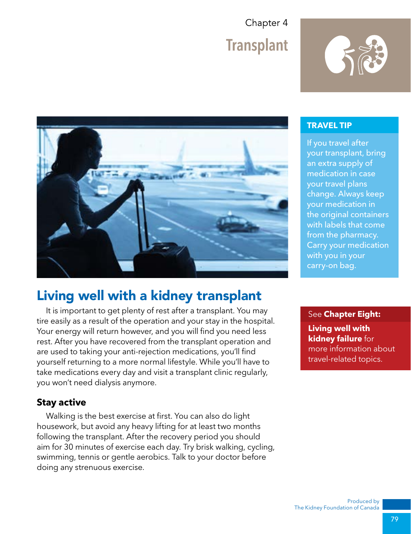



## Living well with a kidney transplant

It is important to get plenty of rest after a transplant. You may tire easily as a result of the operation and your stay in the hospital. Your energy will return however, and you will find you need less rest. After you have recovered from the transplant operation and are used to taking your anti-rejection medications, you'll find yourself returning to a more normal lifestyle. While you'll have to take medications every day and visit a transplant clinic regularly, you won't need dialysis anymore.

#### **Stay active**

Walking is the best exercise at first. You can also do light housework, but avoid any heavy lifting for at least two months following the transplant. After the recovery period you should aim for 30 minutes of exercise each day. Try brisk walking, cycling, swimming, tennis or gentle aerobics. Talk to your doctor before doing any strenuous exercise.

#### **TRAVEL TIP**

If you travel after your transplant, bring an extra supply of medication in case your travel plans change. Always keep your medication in the original containers with labels that come from the pharmacy. Carry your medication with you in your carry-on bag.

#### See **Chapter Eight:**

**Living well with kidney failure** for more information about travel-related topics.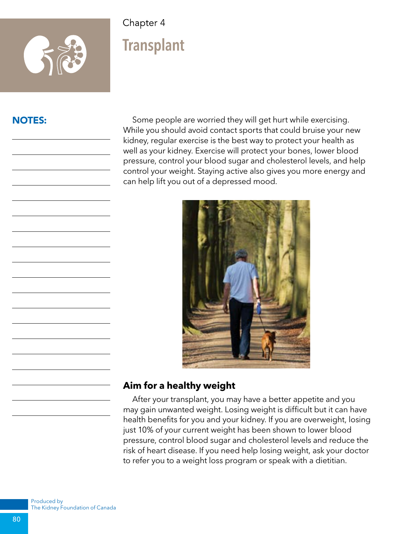

## **Transplant**

#### NOTES:

Some people are worried they will get hurt while exercising. While you should avoid contact sports that could bruise your new kidney, regular exercise is the best way to protect your health as well as your kidney. Exercise will protect your bones, lower blood pressure, control your blood sugar and cholesterol levels, and help control your weight. Staying active also gives you more energy and can help lift you out of a depressed mood.



#### **Aim for a healthy weight**

After your transplant, you may have a better appetite and you may gain unwanted weight. Losing weight is difficult but it can have health benefits for you and your kidney. If you are overweight, losing just 10% of your current weight has been shown to lower blood pressure, control blood sugar and cholesterol levels and reduce the risk of heart disease. If you need help losing weight, ask your doctor to refer you to a weight loss program or speak with a dietitian.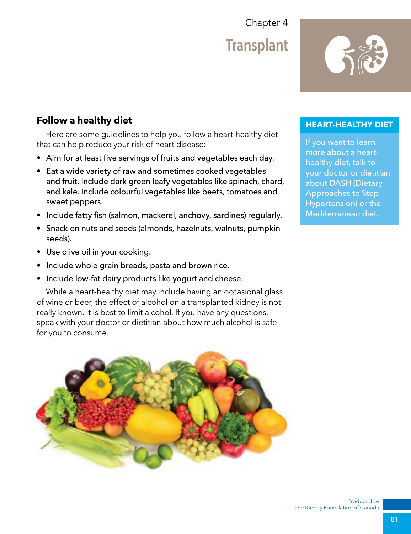#### **Follow a healthy diet**

Here are some guidelines to help you follow a heart-healthy diet that can help reduce your risk of heart disease:

- Aim for at least five servings of fruits and vegetables each day.
- Eat a wide variety of raw and sometimes cooked vegetables and fruit. Include dark green leafy vegetables like spinach, chard, and kale. Include colourful vegetables like beets, tomatoes and sweet peppers.
- Include fatty fish (salmon, mackerel, anchovy, sardines) regularly.
- Snack on nuts and seeds (almonds, hazelnuts, walnuts, pumpkin seeds).
- Use olive oil in your cooking.
- Include whole grain breads, pasta and brown rice.
- Include low-fat dairy products like yogurt and cheese.

While a heart-healthy diet may include having an occasional glass of wine or beer, the effect of alcohol on a transplanted kidney is not really known. It is best to limit alcohol. If you have any questions, speak with your doctor or dietitian about how much alcohol is safe for you to consume.



#### **HEART-HEALTHY DIET**

If you want to learn more about a hearthealthy diet, talk to your doctor or dietitian about DASH (Dietary Approaches to Stop Hypertension) or the Mediterranean diet.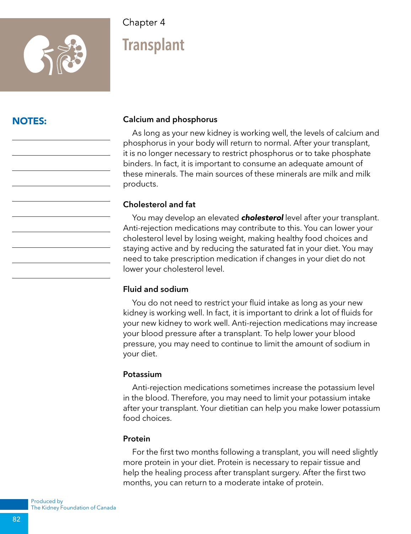

# **Transplant**

#### NOTES:

#### Calcium and phosphorus

As long as your new kidney is working well, the levels of calcium and phosphorus in your body will return to normal. After your transplant, it is no longer necessary to restrict phosphorus or to take phosphate binders. In fact, it is important to consume an adequate amount of these minerals. The main sources of these minerals are milk and milk products.

#### Cholesterol and fat

You may develop an elevated *cholesterol* level after your transplant. Anti-rejection medications may contribute to this. You can lower your cholesterol level by losing weight, making healthy food choices and staying active and by reducing the saturated fat in your diet. You may need to take prescription medication if changes in your diet do not lower your cholesterol level.

#### Fluid and sodium

You do not need to restrict your fluid intake as long as your new kidney is working well. In fact, it is important to drink a lot of fluids for your new kidney to work well. Anti-rejection medications may increase your blood pressure after a transplant. To help lower your blood pressure, you may need to continue to limit the amount of sodium in your diet.

#### Potassium

Anti-rejection medications sometimes increase the potassium level in the blood. Therefore, you may need to limit your potassium intake after your transplant. Your dietitian can help you make lower potassium food choices.

#### Protein

For the first two months following a transplant, you will need slightly more protein in your diet. Protein is necessary to repair tissue and help the healing process after transplant surgery. After the first two months, you can return to a moderate intake of protein.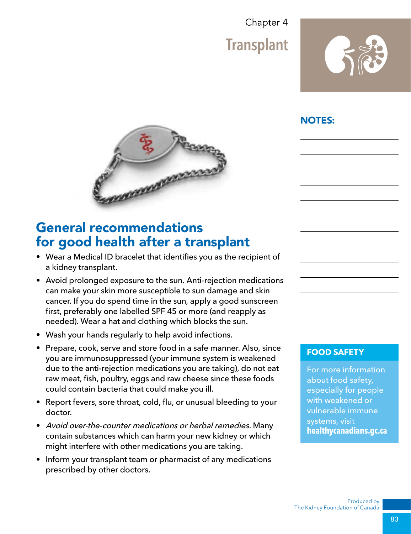**Transplant** 



#### NOTES:



## General recommendations for good health after a transplant

- Wear a Medical ID bracelet that identifies you as the recipient of a kidney transplant.
- Avoid prolonged exposure to the sun. Anti-rejection medications can make your skin more susceptible to sun damage and skin cancer. If you do spend time in the sun, apply a good sunscreen first, preferably one labelled SPF 45 or more (and reapply as needed). Wear a hat and clothing which blocks the sun.
- Wash your hands regularly to help avoid infections.
- Prepare, cook, serve and store food in a safe manner. Also, since you are immunosuppressed (your immune system is weakened due to the anti-rejection medications you are taking), do not eat raw meat, fish, poultry, eggs and raw cheese since these foods could contain bacteria that could make you ill.
- Report fevers, sore throat, cold, flu, or unusual bleeding to your doctor.
- Avoid over-the-counter medications or herbal remedies. Many contain substances which can harm your new kidney or which might interfere with other medications you are taking.
- Inform your transplant team or pharmacist of any medications prescribed by other doctors.

#### **FOOD SAFETY**

For more information about food safety, especially for people with weakened or vulnerable immune systems, visit **healthycanadians.gc.ca**